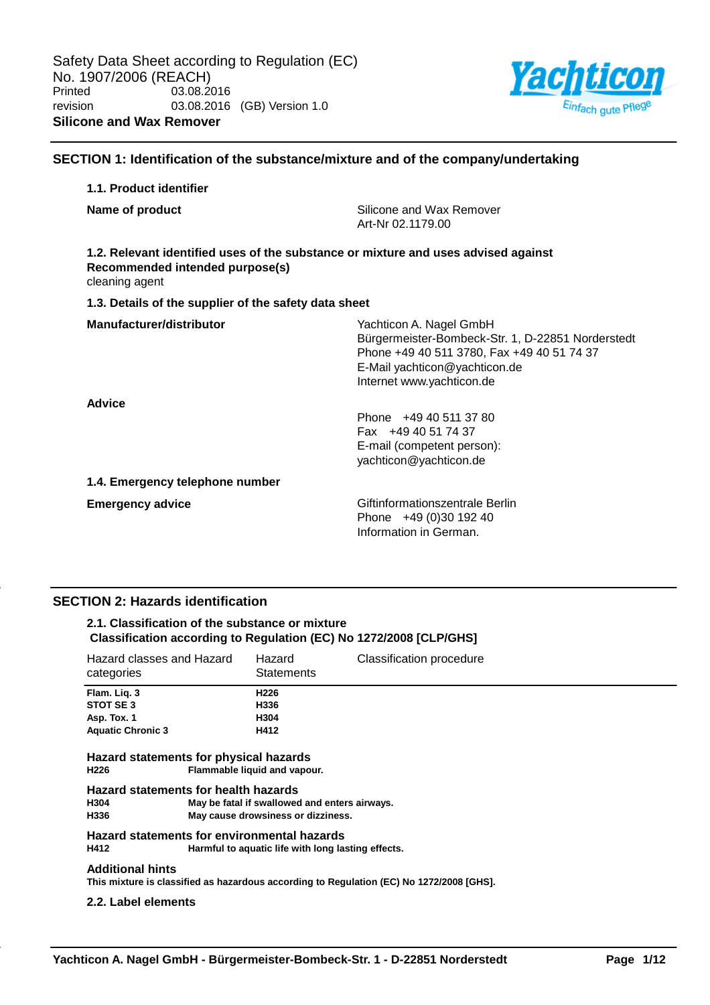

# **SECTION 1: Identification of the substance/mixture and of the company/undertaking**

# **1.1. Product identifier Name of product Name of product Silicone** and Wax Remover Art-Nr 02.1179.00 **1.2. Relevant identified uses of the substance or mixture and uses advised against Recommended intended purpose(s)** cleaning agent **1.3. Details of the supplier of the safety data sheet Manufacturer/distributor** Wachticon A. Nagel GmbH Bürgermeister-Bombeck-Str. 1, D-22851 Norderstedt Phone +49 40 511 3780, Fax +49 40 51 74 37 E-Mail yachticon@yachticon.de Internet www.yachticon.de **Advice** Phone +49 40 511 37 80 Fax +49 40 51 74 37 E-mail (competent person): yachticon@yachticon.de **1.4. Emergency telephone number Emergency advice Emergency advice Emergency advice Giftinformationszentrale Berlin** Phone +49 (0)30 192 40 Information in German.

# **SECTION 2: Hazards identification**

### **2.1. Classification of the substance or mixture Classification according to Regulation (EC) No 1272/2008 [CLP/GHS]**

| Hazard classes and Hazard<br>categories                                                                   |                     | Hazard<br><b>Statements</b>                   | <b>Classification procedure</b>                                                          |  |  |
|-----------------------------------------------------------------------------------------------------------|---------------------|-----------------------------------------------|------------------------------------------------------------------------------------------|--|--|
| Flam. Lig. 3                                                                                              |                     | H <sub>226</sub>                              |                                                                                          |  |  |
| STOT SE 3                                                                                                 |                     | H336                                          |                                                                                          |  |  |
| Asp. Tox. 1                                                                                               |                     | H304                                          |                                                                                          |  |  |
| <b>Aquatic Chronic 3</b>                                                                                  |                     | H412                                          |                                                                                          |  |  |
| Hazard statements for physical hazards<br>H226                                                            |                     | Flammable liquid and vapour.                  |                                                                                          |  |  |
| Hazard statements for health hazards                                                                      |                     |                                               |                                                                                          |  |  |
| H304                                                                                                      |                     | May be fatal if swallowed and enters airways. |                                                                                          |  |  |
| H336                                                                                                      |                     | May cause drowsiness or dizziness.            |                                                                                          |  |  |
| Hazard statements for environmental hazards<br>H412<br>Harmful to aquatic life with long lasting effects. |                     |                                               |                                                                                          |  |  |
| <b>Additional hints</b>                                                                                   |                     |                                               | This mixture is classified as hazardous according to Regulation (EC) No 1272/2008 [GHS]. |  |  |
|                                                                                                           | 2.2. Label elements |                                               |                                                                                          |  |  |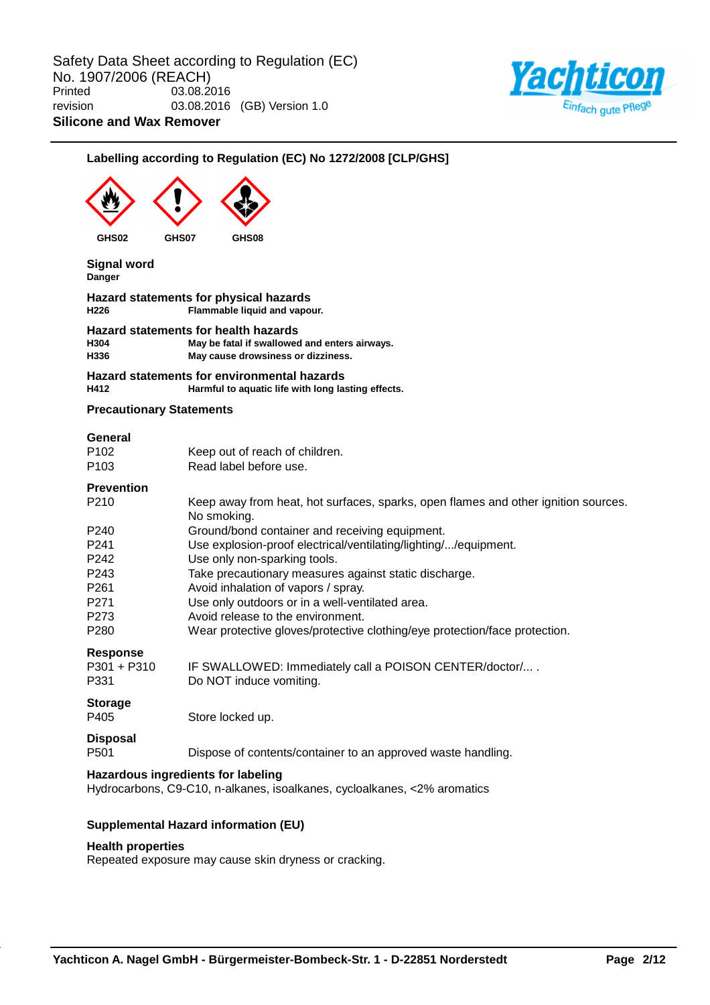

# **Labelling according to Regulation (EC) No 1272/2008 [CLP/GHS]**

| GHS02<br>GHS07                           | GHS08                                                                                                                                             |
|------------------------------------------|---------------------------------------------------------------------------------------------------------------------------------------------------|
| <b>Signal word</b><br>Danger             |                                                                                                                                                   |
| H <sub>226</sub>                         | Hazard statements for physical hazards<br>Flammable liquid and vapour.                                                                            |
| H304<br>H336                             | Hazard statements for health hazards<br>May be fatal if swallowed and enters airways.<br>May cause drowsiness or dizziness.                       |
| H412                                     | Hazard statements for environmental hazards<br>Harmful to aquatic life with long lasting effects.                                                 |
| <b>Precautionary Statements</b>          |                                                                                                                                                   |
| General<br>P <sub>102</sub><br>P103      | Keep out of reach of children.<br>Read label before use.                                                                                          |
| <b>Prevention</b><br>P <sub>210</sub>    | Keep away from heat, hot surfaces, sparks, open flames and other ignition sources.<br>No smoking.                                                 |
| P240<br>P241<br>P242                     | Ground/bond container and receiving equipment.<br>Use explosion-proof electrical/ventilating/lighting//equipment.<br>Use only non-sparking tools. |
| P243<br>P <sub>261</sub><br>P271         | Take precautionary measures against static discharge.<br>Avoid inhalation of vapors / spray.<br>Use only outdoors or in a well-ventilated area.   |
| P273<br>P280                             | Avoid release to the environment.<br>Wear protective gloves/protective clothing/eye protection/face protection.                                   |
| <b>Response</b><br>$P301 + P310$<br>P331 | IF SWALLOWED: Immediately call a POISON CENTER/doctor/<br>Do NOT induce vomiting.                                                                 |
| <b>Storage</b><br>P405                   | Store locked up.                                                                                                                                  |
| <b>Disposal</b><br>P501                  | Dispose of contents/container to an approved waste handling.                                                                                      |
|                                          | Hazardous ingredients for labeling<br>Hydrocarbons, C9-C10, n-alkanes, isoalkanes, cycloalkanes, <2% aromatics                                    |
|                                          | <b>Supplemental Hazard information (EU)</b>                                                                                                       |

### **Health properties**

Repeated exposure may cause skin dryness or cracking.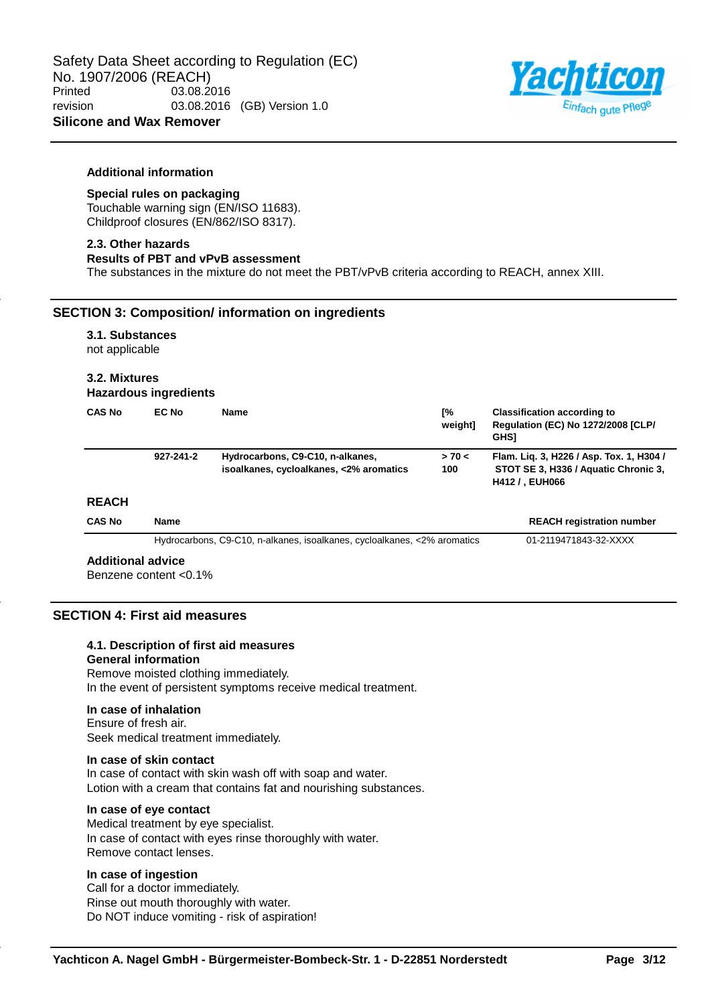

#### **Additional information**

# **Special rules on packaging**

Touchable warning sign (EN/ISO 11683). Childproof closures (EN/862/ISO 8317).

#### **2.3. Other hazards**

#### **Results of PBT and vPvB assessment**

The substances in the mixture do not meet the PBT/vPvB criteria according to REACH, annex XIII.

### **SECTION 3: Composition/ information on ingredients**

### **3.1. Substances** not applicable

# **3.2. Mixtures**

| <b>CAS No</b> | EC No     | <b>Name</b>                                                                 | Г%<br>weight] | <b>Classification according to</b><br><b>Requlation (EC) No 1272/2008 [CLP/</b><br><b>GHS1</b>             |
|---------------|-----------|-----------------------------------------------------------------------------|---------------|------------------------------------------------------------------------------------------------------------|
| <b>REACH</b>  | 927-241-2 | Hydrocarbons, C9-C10, n-alkanes,<br>isoalkanes, cycloalkanes, <2% aromatics | > 70 <<br>100 | Flam. Lig. 3, H226 / Asp. Tox. 1, H304 /<br>STOT SE 3, H336 / Aquatic Chronic 3,<br><b>H412 / . EUH066</b> |

#### **REACH**

| <b>CAS No</b>     | Name                                                                     | <b>REACH registration number</b> |
|-------------------|--------------------------------------------------------------------------|----------------------------------|
|                   | Hydrocarbons, C9-C10, n-alkanes, isoalkanes, cycloalkanes, <2% aromatics | 01-2119471843-32-XXXX            |
| Additional advice |                                                                          |                                  |

#### **Additional advice**

Benzene content <0.1%

# **SECTION 4: First aid measures**

# **4.1. Description of first aid measures**

#### **General information**

Remove moisted clothing immediately. In the event of persistent symptoms receive medical treatment.

#### **In case of inhalation**

Ensure of fresh air. Seek medical treatment immediately.

#### **In case of skin contact**

In case of contact with skin wash off with soap and water. Lotion with a cream that contains fat and nourishing substances.

#### **In case of eye contact**

Medical treatment by eye specialist. In case of contact with eyes rinse thoroughly with water. Remove contact lenses.

### **In case of ingestion**

Call for a doctor immediately. Rinse out mouth thoroughly with water. Do NOT induce vomiting - risk of aspiration!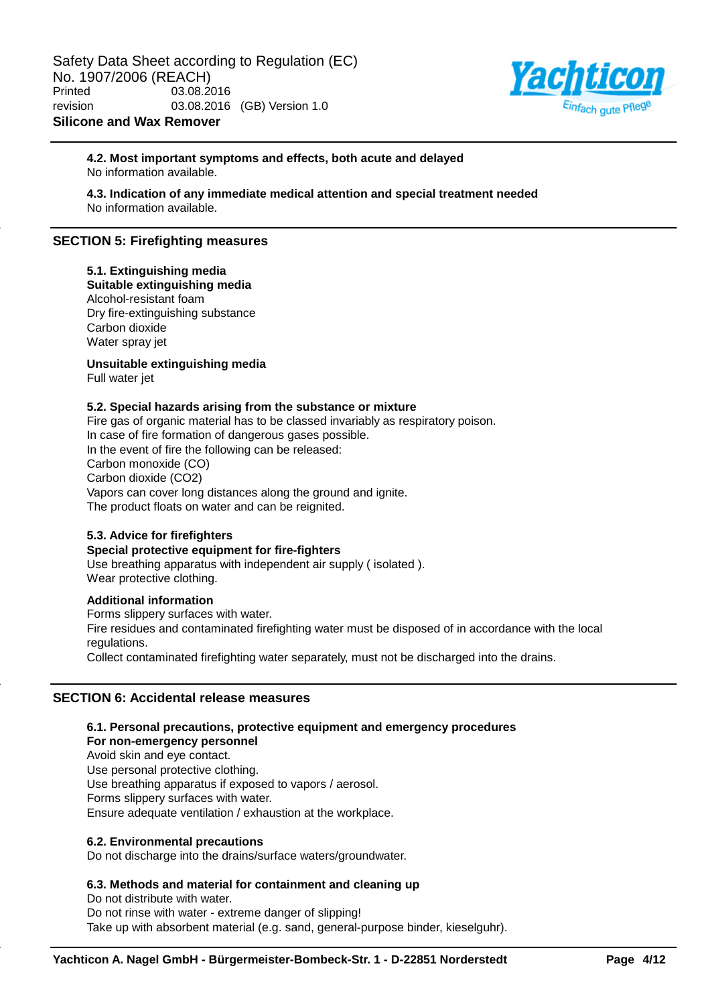

### **4.2. Most important symptoms and effects, both acute and delayed** No information available.

**4.3. Indication of any immediate medical attention and special treatment needed** No information available.

# **SECTION 5: Firefighting measures**

# **5.1. Extinguishing media**

**Suitable extinguishing media** Alcohol-resistant foam Dry fire-extinguishing substance Carbon dioxide Water spray jet

**Unsuitable extinguishing media**

Full water jet

### **5.2. Special hazards arising from the substance or mixture**

Fire gas of organic material has to be classed invariably as respiratory poison. In case of fire formation of dangerous gases possible. In the event of fire the following can be released: Carbon monoxide (CO) Carbon dioxide (CO2) Vapors can cover long distances along the ground and ignite. The product floats on water and can be reignited.

# **5.3. Advice for firefighters**

### **Special protective equipment for fire-fighters**

Use breathing apparatus with independent air supply ( isolated ). Wear protective clothing.

#### **Additional information**

Forms slippery surfaces with water. Fire residues and contaminated firefighting water must be disposed of in accordance with the local regulations. Collect contaminated firefighting water separately, must not be discharged into the drains.

# **SECTION 6: Accidental release measures**

#### **6.1. Personal precautions, protective equipment and emergency procedures**

**For non-emergency personnel**

Avoid skin and eye contact. Use personal protective clothing. Use breathing apparatus if exposed to vapors / aerosol. Forms slippery surfaces with water. Ensure adequate ventilation / exhaustion at the workplace.

#### **6.2. Environmental precautions**

Do not discharge into the drains/surface waters/groundwater.

### **6.3. Methods and material for containment and cleaning up**

Do not distribute with water. Do not rinse with water - extreme danger of slipping! Take up with absorbent material (e.g. sand, general-purpose binder, kieselguhr).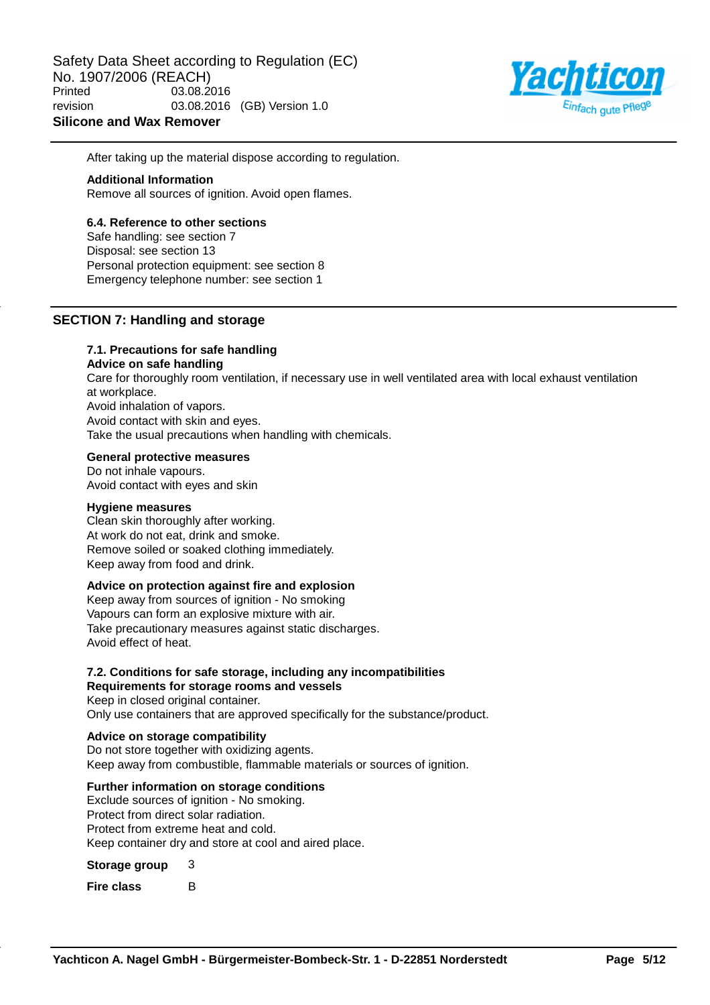

After taking up the material dispose according to regulation.

#### **Additional Information**

Remove all sources of ignition. Avoid open flames.

#### **6.4. Reference to other sections**

Safe handling: see section 7 Disposal: see section 13 Personal protection equipment: see section 8 Emergency telephone number: see section 1

## **SECTION 7: Handling and storage**

### **7.1. Precautions for safe handling**

**Advice on safe handling**

Care for thoroughly room ventilation, if necessary use in well ventilated area with local exhaust ventilation at workplace. Avoid inhalation of vapors. Avoid contact with skin and eyes. Take the usual precautions when handling with chemicals.

#### **General protective measures**

Do not inhale vapours. Avoid contact with eyes and skin

#### **Hygiene measures**

Clean skin thoroughly after working. At work do not eat, drink and smoke. Remove soiled or soaked clothing immediately. Keep away from food and drink.

### **Advice on protection against fire and explosion**

Keep away from sources of ignition - No smoking Vapours can form an explosive mixture with air. Take precautionary measures against static discharges. Avoid effect of heat.

### **7.2. Conditions for safe storage, including any incompatibilities**

**Requirements for storage rooms and vessels** Keep in closed original container. Only use containers that are approved specifically for the substance/product.

#### **Advice on storage compatibility**

Do not store together with oxidizing agents. Keep away from combustible, flammable materials or sources of ignition.

#### **Further information on storage conditions**

Exclude sources of ignition - No smoking. Protect from direct solar radiation. Protect from extreme heat and cold. Keep container dry and store at cool and aired place.

#### **Storage group** 3

**Fire class** B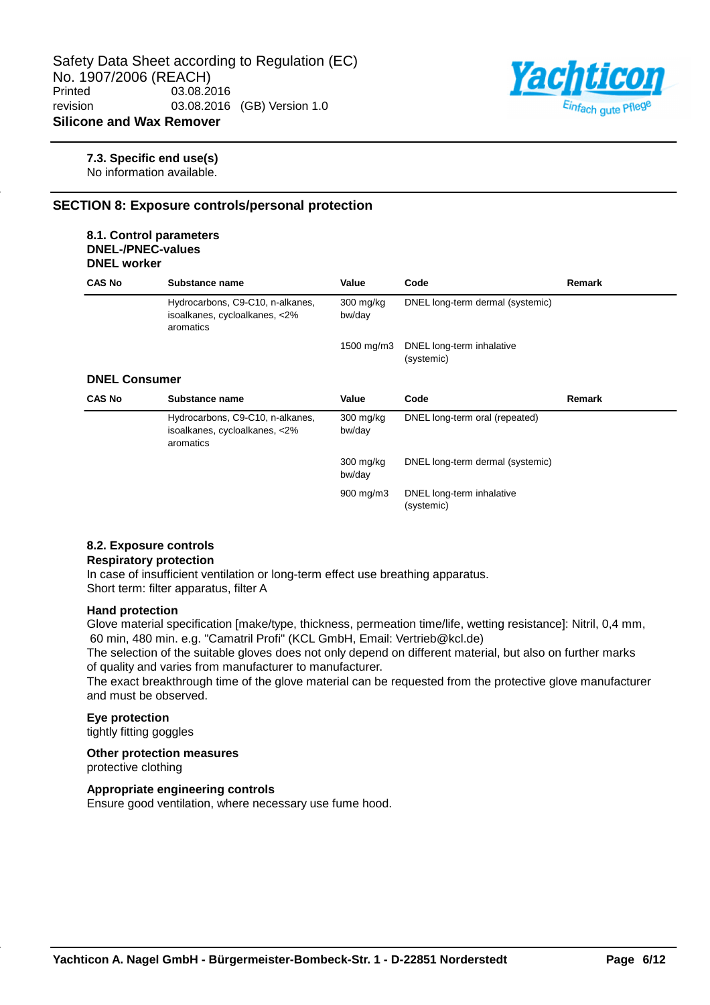

#### **7.3. Specific end use(s)**

No information available.

# **SECTION 8: Exposure controls/personal protection**

#### **8.1. Control parameters DNEL-/PNEC-values DNEL worker**

| <b>CAS No</b>        | Substance name                                                                 | Value                 | Code                                    | Remark |
|----------------------|--------------------------------------------------------------------------------|-----------------------|-----------------------------------------|--------|
|                      | Hydrocarbons, C9-C10, n-alkanes,<br>isoalkanes, cycloalkanes, <2%<br>aromatics | $300$ mg/kg<br>bw/day | DNEL long-term dermal (systemic)        |        |
|                      |                                                                                | 1500 mg/m3            | DNEL long-term inhalative<br>(systemic) |        |
| <b>DNEL Consumer</b> |                                                                                |                       |                                         |        |
| <b>CAS No</b>        | Substance name                                                                 | Value                 | Code                                    | Remark |
|                      | Hydrocarbons, C9-C10, n-alkanes,<br>isoalkanes, cycloalkanes, <2%<br>aromatics | $300$ mg/kg<br>bw/day | DNEL long-term oral (repeated)          |        |
|                      |                                                                                | $300$ mg/kg<br>bw/day | DNEL long-term dermal (systemic)        |        |
|                      |                                                                                | $900 \text{ mg/m}$    | DNEL long-term inhalative               |        |

(systemic)

# **8.2. Exposure controls**

### **Respiratory protection**

In case of insufficient ventilation or long-term effect use breathing apparatus. Short term: filter apparatus, filter A

#### **Hand protection**

Glove material specification [make/type, thickness, permeation time/life, wetting resistance]: Nitril, 0,4 mm, 60 min, 480 min. e.g. "Camatril Profi" (KCL GmbH, Email: Vertrieb@kcl.de)

The selection of the suitable gloves does not only depend on different material, but also on further marks of quality and varies from manufacturer to manufacturer.

The exact breakthrough time of the glove material can be requested from the protective glove manufacturer and must be observed.

# **Eye protection**

tightly fitting goggles

#### **Other protection measures**

protective clothing

### **Appropriate engineering controls**

Ensure good ventilation, where necessary use fume hood.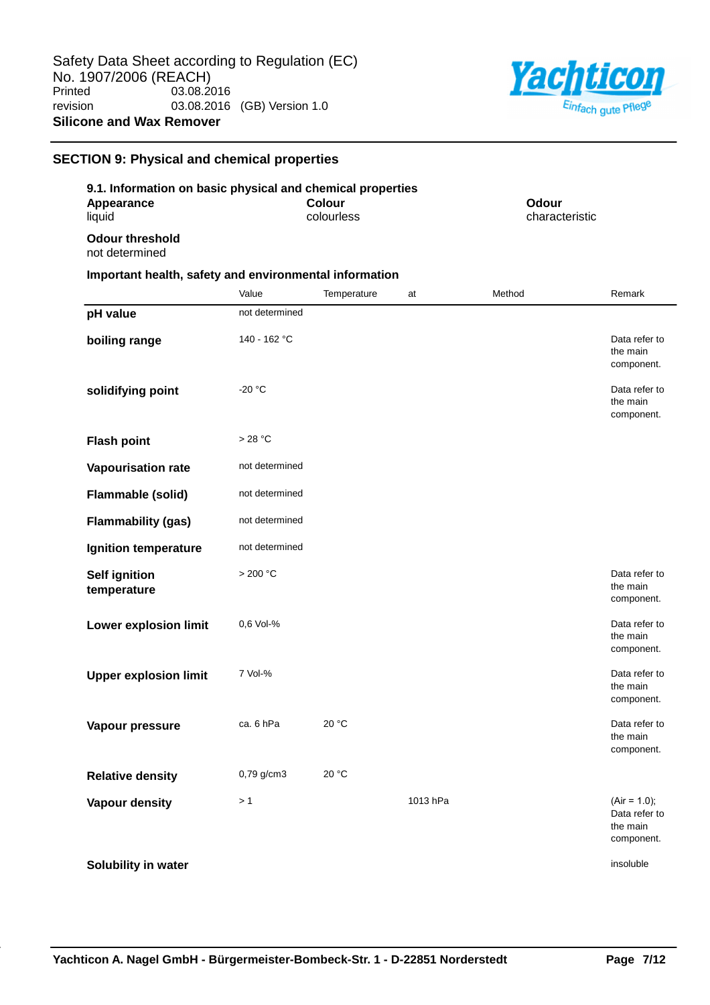

# **SECTION 9: Physical and chemical properties**

|                                          | 9.1. Information on basic physical and chemical properties |                         |
|------------------------------------------|------------------------------------------------------------|-------------------------|
| Appearance<br>liauid                     | Colour<br>colourless                                       | Odour<br>characteristic |
| <b>Odour threshold</b><br>not determined |                                                            |                         |
|                                          | Important health, safety and environmental information     |                         |

|                                     | Value          | Temperature | at       | Method | Remark                                                    |
|-------------------------------------|----------------|-------------|----------|--------|-----------------------------------------------------------|
| pH value                            | not determined |             |          |        |                                                           |
| boiling range                       | 140 - 162 °C   |             |          |        | Data refer to<br>the main<br>component.                   |
| solidifying point                   | $-20 °C$       |             |          |        | Data refer to<br>the main<br>component.                   |
| <b>Flash point</b>                  | >28 °C         |             |          |        |                                                           |
| Vapourisation rate                  | not determined |             |          |        |                                                           |
| Flammable (solid)                   | not determined |             |          |        |                                                           |
| <b>Flammability (gas)</b>           | not determined |             |          |        |                                                           |
| Ignition temperature                | not determined |             |          |        |                                                           |
| <b>Self ignition</b><br>temperature | >200 °C        |             |          |        | Data refer to<br>the main<br>component.                   |
| <b>Lower explosion limit</b>        | 0,6 Vol-%      |             |          |        | Data refer to<br>the main<br>component.                   |
| <b>Upper explosion limit</b>        | 7 Vol-%        |             |          |        | Data refer to<br>the main<br>component.                   |
| Vapour pressure                     | ca. 6 hPa      | 20 °C       |          |        | Data refer to<br>the main<br>component.                   |
| <b>Relative density</b>             | $0,79$ g/cm3   | 20 °C       |          |        |                                                           |
| <b>Vapour density</b>               | >1             |             | 1013 hPa |        | $(Air = 1.0);$<br>Data refer to<br>the main<br>component. |
| Solubility in water                 |                |             |          |        | insoluble                                                 |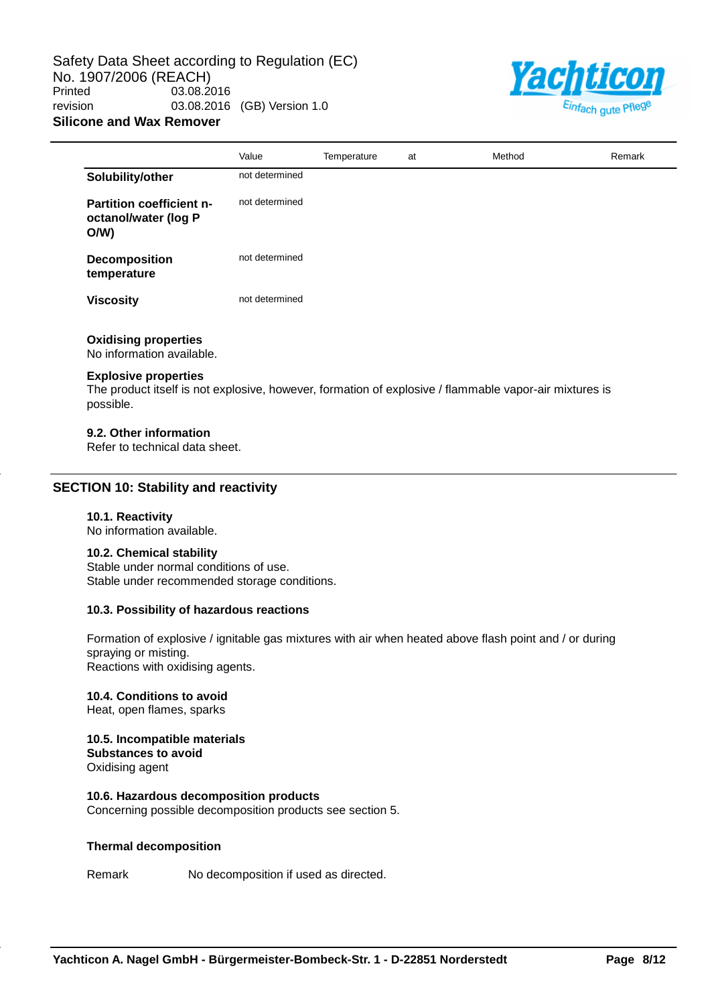Safety Data Sheet according to Regulation (EC) No. 1907/2006 (REACH)<br>Printed 03.08.2 03.08.2016 revision 03.08.2016 (GB) Version 1.0 **Silicone and Wax Remover**



|                                                                | Value          | Temperature | at | Method | Remark |
|----------------------------------------------------------------|----------------|-------------|----|--------|--------|
| Solubility/other                                               | not determined |             |    |        |        |
| <b>Partition coefficient n-</b><br>octanol/water (log P<br>O/W | not determined |             |    |        |        |
| Decomposition<br>temperature                                   | not determined |             |    |        |        |
| <b>Viscosity</b>                                               | not determined |             |    |        |        |
| <b>Oxidising properties</b><br>No information available.       |                |             |    |        |        |

#### **Explosive properties**

The product itself is not explosive, however, formation of explosive / flammable vapor-air mixtures is possible.

#### **9.2. Other information**

Refer to technical data sheet.

### **SECTION 10: Stability and reactivity**

#### **10.1. Reactivity**

No information available.

#### **10.2. Chemical stability**

Stable under normal conditions of use. Stable under recommended storage conditions.

#### **10.3. Possibility of hazardous reactions**

Formation of explosive / ignitable gas mixtures with air when heated above flash point and / or during spraying or misting. Reactions with oxidising agents.

#### **10.4. Conditions to avoid**

Heat, open flames, sparks

#### **10.5. Incompatible materials Substances to avoid**

Oxidising agent

#### **10.6. Hazardous decomposition products**

Concerning possible decomposition products see section 5.

#### **Thermal decomposition**

Remark No decomposition if used as directed.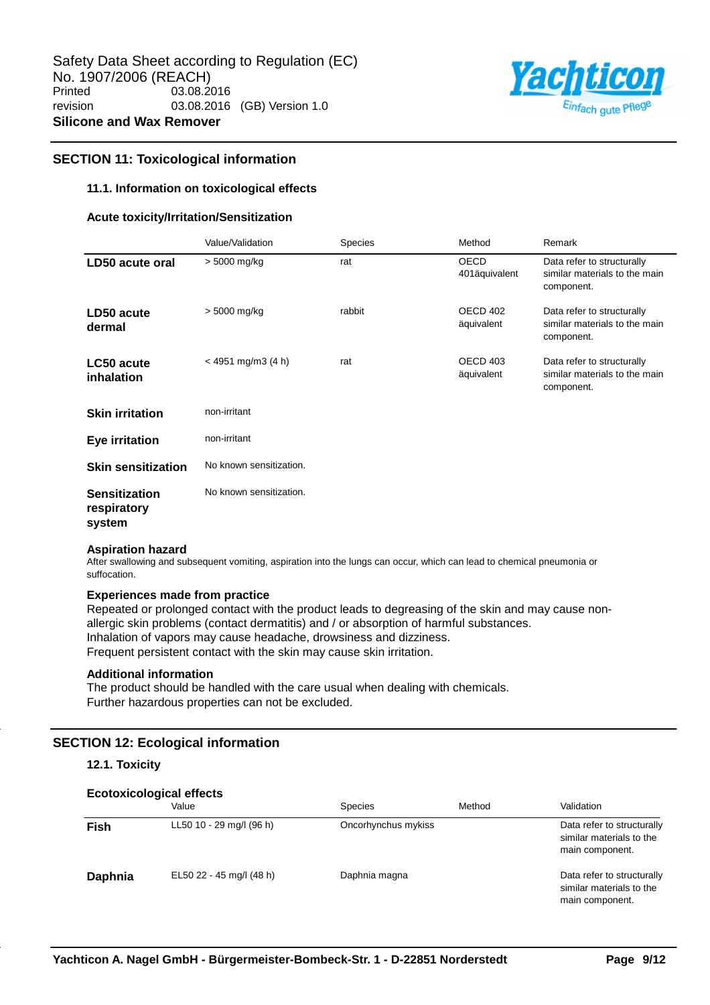

# **SECTION 11: Toxicological information**

### **11.1. Information on toxicological effects**

#### **Acute toxicity/Irritation/Sensitization**

|                                               | Value/Validation        | <b>Species</b> | Method                       | Remark                                                                    |
|-----------------------------------------------|-------------------------|----------------|------------------------------|---------------------------------------------------------------------------|
| LD50 acute oral                               | > 5000 mg/kg            | rat            | <b>OECD</b><br>401äquivalent | Data refer to structurally<br>similar materials to the main<br>component. |
| LD50 acute<br>dermal                          | > 5000 mg/kg            | rabbit         | OECD 402<br>äquivalent       | Data refer to structurally<br>similar materials to the main<br>component. |
| <b>LC50 acute</b><br>inhalation               | $<$ 4951 mg/m3 (4 h)    | rat            | OECD 403<br>äquivalent       | Data refer to structurally<br>similar materials to the main<br>component. |
| <b>Skin irritation</b>                        | non-irritant            |                |                              |                                                                           |
| <b>Eye irritation</b>                         | non-irritant            |                |                              |                                                                           |
| <b>Skin sensitization</b>                     | No known sensitization. |                |                              |                                                                           |
| <b>Sensitization</b><br>respiratory<br>system | No known sensitization. |                |                              |                                                                           |

#### **Aspiration hazard**

After swallowing and subsequent vomiting, aspiration into the lungs can occur, which can lead to chemical pneumonia or suffocation.

### **Experiences made from practice**

Repeated or prolonged contact with the product leads to degreasing of the skin and may cause nonallergic skin problems (contact dermatitis) and / or absorption of harmful substances. Inhalation of vapors may cause headache, drowsiness and dizziness. Frequent persistent contact with the skin may cause skin irritation.

### **Additional information**

The product should be handled with the care usual when dealing with chemicals. Further hazardous properties can not be excluded.

# **SECTION 12: Ecological information**

# **12.1. Toxicity**

| <b>Ecotoxicological effects</b> |                          |                     |        |                                                                           |  |  |  |
|---------------------------------|--------------------------|---------------------|--------|---------------------------------------------------------------------------|--|--|--|
|                                 | Value                    | <b>Species</b>      | Method | Validation                                                                |  |  |  |
| Fish                            | LL50 10 - 29 mg/l (96 h) | Oncorhynchus mykiss |        | Data refer to structurally<br>similar materials to the<br>main component. |  |  |  |
| Daphnia                         | EL50 22 - 45 mg/l (48 h) | Daphnia magna       |        | Data refer to structurally<br>similar materials to the<br>main component. |  |  |  |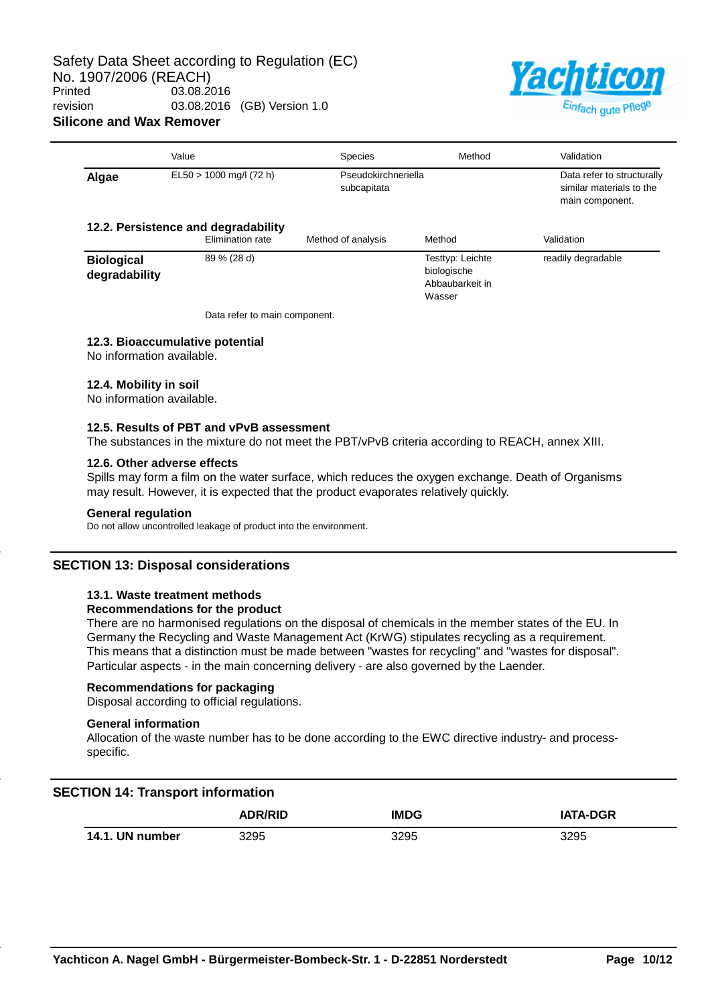

|                                                         | Value                     | <b>Species</b>                     | Method                                                       | Validation                                                                |  |
|---------------------------------------------------------|---------------------------|------------------------------------|--------------------------------------------------------------|---------------------------------------------------------------------------|--|
| Algae                                                   | $EL50 > 1000$ mg/l (72 h) | Pseudokirchneriella<br>subcapitata |                                                              | Data refer to structurally<br>similar materials to the<br>main component. |  |
| 12.2. Persistence and degradability<br>Elimination rate |                           | Method of analysis                 | Method                                                       | Validation                                                                |  |
| <b>Biological</b><br>degradability                      | 89 % (28 d)               |                                    | Testtyp: Leichte<br>biologische<br>Abbaubarkeit in<br>Wasser | readily degradable                                                        |  |

Data refer to main component.

#### **12.3. Bioaccumulative potential**

No information available.

#### **12.4. Mobility in soil**

No information available.

#### **12.5. Results of PBT and vPvB assessment**

The substances in the mixture do not meet the PBT/vPvB criteria according to REACH, annex XIII.

### **12.6. Other adverse effects**

Spills may form a film on the water surface, which reduces the oxygen exchange. Death of Organisms may result. However, it is expected that the product evaporates relatively quickly.

#### **General regulation**

Do not allow uncontrolled leakage of product into the environment.

#### **SECTION 13: Disposal considerations**

# **13.1. Waste treatment methods**

#### **Recommendations for the product**

There are no harmonised regulations on the disposal of chemicals in the member states of the EU. In Germany the Recycling and Waste Management Act (KrWG) stipulates recycling as a requirement. This means that a distinction must be made between "wastes for recycling" and "wastes for disposal". Particular aspects - in the main concerning delivery - are also governed by the Laender.

### **Recommendations for packaging**

Disposal according to official regulations.

### **General information**

Allocation of the waste number has to be done according to the EWC directive industry- and processspecific.

# **SECTION 14: Transport information**

|  |                 | <b>ADR/RID</b> | <b>IMDG</b> | <b>IATA-DGR</b> |
|--|-----------------|----------------|-------------|-----------------|
|  | 14.1. UN number | 3295           | 3295        | 3295            |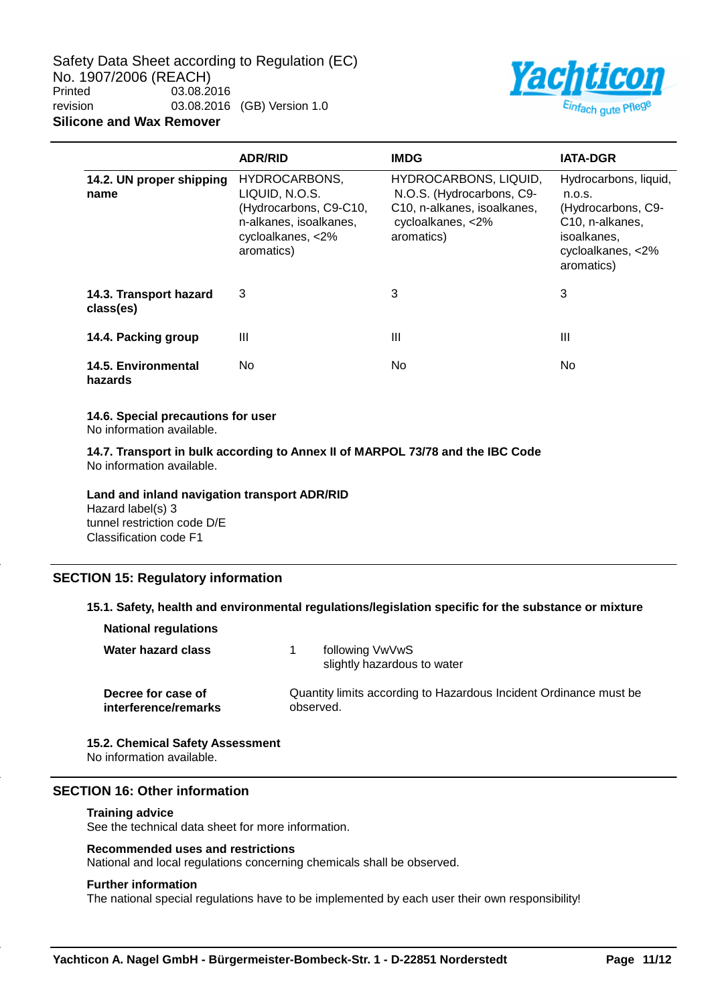Safety Data Sheet according to Regulation (EC) No. 1907/2006 (REACH)<br>Printed 03.08.2 03.08.2016 revision 03.08.2016 (GB) Version 1.0 **Silicone and Wax Remover**



|                                     | <b>ADR/RID</b>                                                                                                         | <b>IMDG</b>                                                                                                          | <b>IATA-DGR</b>                                                                                                                         |
|-------------------------------------|------------------------------------------------------------------------------------------------------------------------|----------------------------------------------------------------------------------------------------------------------|-----------------------------------------------------------------------------------------------------------------------------------------|
| 14.2. UN proper shipping<br>name    | HYDROCARBONS,<br>LIQUID, N.O.S.<br>(Hydrocarbons, C9-C10,<br>n-alkanes, isoalkanes,<br>cycloalkanes, <2%<br>aromatics) | HYDROCARBONS, LIQUID,<br>N.O.S. (Hydrocarbons, C9-<br>C10, n-alkanes, isoalkanes,<br>cycloalkanes, <2%<br>aromatics) | Hydrocarbons, liquid,<br>n.o.s.<br>(Hydrocarbons, C9-<br>C <sub>10</sub> , n-alkanes,<br>isoalkanes,<br>cycloalkanes, <2%<br>aromatics) |
| 14.3. Transport hazard<br>class(es) | 3                                                                                                                      | 3                                                                                                                    | 3                                                                                                                                       |
| 14.4. Packing group                 | Ш                                                                                                                      | Ш                                                                                                                    | Ш                                                                                                                                       |
| 14.5. Environmental<br>hazards      | No                                                                                                                     | No.                                                                                                                  | No.                                                                                                                                     |

#### **14.6. Special precautions for user**

No information available.

**14.7. Transport in bulk according to Annex II of MARPOL 73/78 and the IBC Code** No information available.

**Land and inland navigation transport ADR/RID** Hazard label(s) 3 tunnel restriction code D/E Classification code F1

# **SECTION 15: Regulatory information**

# **15.1. Safety, health and environmental regulations/legislation specific for the substance or mixture**

| <b>National regulations</b>                |                                                                                |  |
|--------------------------------------------|--------------------------------------------------------------------------------|--|
| Water hazard class                         | following VwVwS<br>slightly hazardous to water                                 |  |
| Decree for case of<br>interference/remarks | Quantity limits according to Hazardous Incident Ordinance must be<br>observed. |  |

**15.2. Chemical Safety Assessment** No information available.

### **SECTION 16: Other information**

#### **Training advice**

See the technical data sheet for more information.

#### **Recommended uses and restrictions**

National and local regulations concerning chemicals shall be observed.

#### **Further information**

The national special regulations have to be implemented by each user their own responsibility!